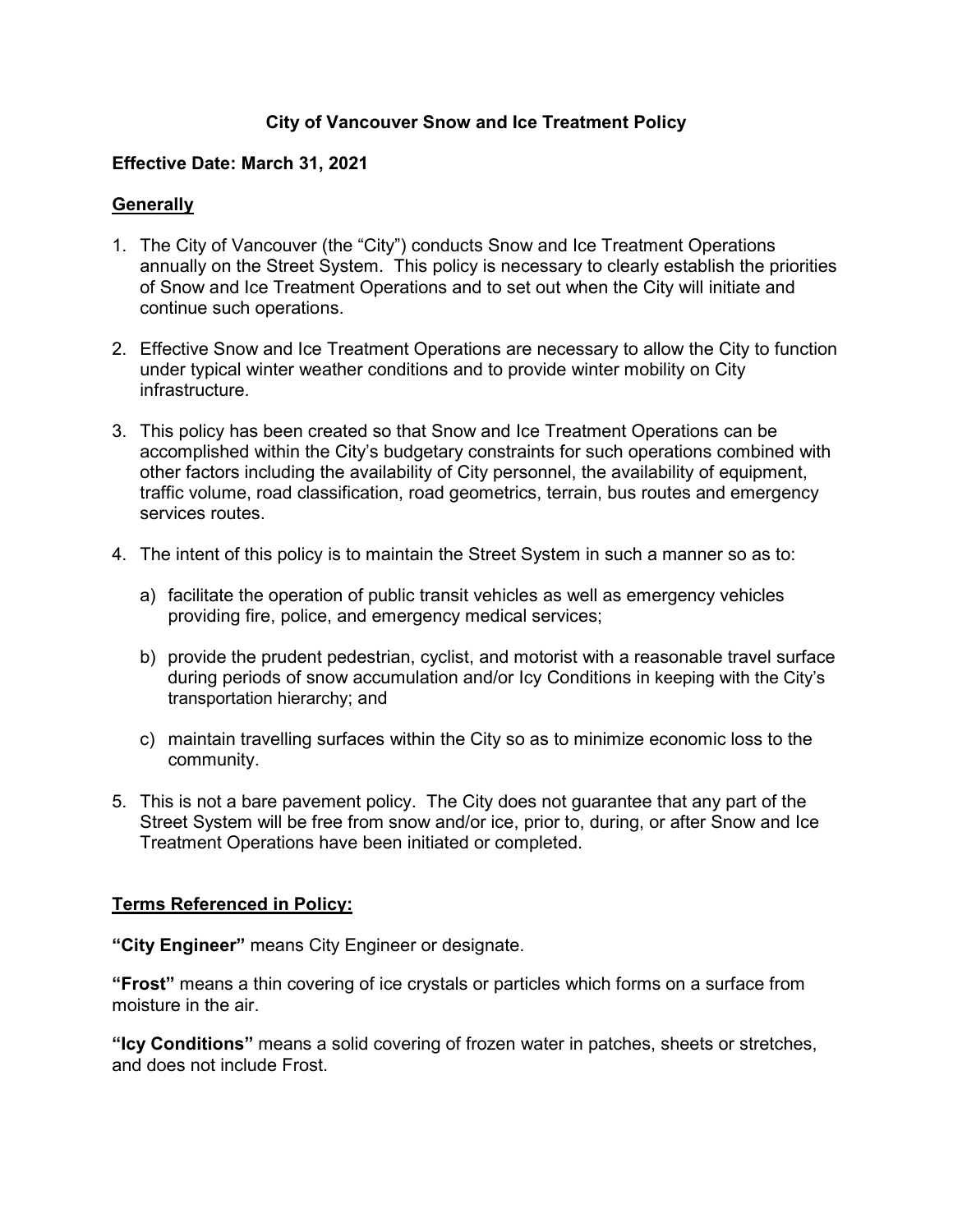## **City of Vancouver Snow and Ice Treatment Policy**

## **Effective Date: March 31, 2021**

## **Generally**

- 1. The City of Vancouver (the "City") conducts Snow and Ice Treatment Operations annually on the Street System. This policy is necessary to clearly establish the priorities of Snow and Ice Treatment Operations and to set out when the City will initiate and continue such operations.
- 2. Effective Snow and Ice Treatment Operations are necessary to allow the City to function under typical winter weather conditions and to provide winter mobility on City infrastructure.
- 3. This policy has been created so that Snow and Ice Treatment Operations can be accomplished within the City's budgetary constraints for such operations combined with other factors including the availability of City personnel, the availability of equipment, traffic volume, road classification, road geometrics, terrain, bus routes and emergency services routes.
- 4. The intent of this policy is to maintain the Street System in such a manner so as to:
	- a) facilitate the operation of public transit vehicles as well as emergency vehicles providing fire, police, and emergency medical services;
	- b) provide the prudent pedestrian, cyclist, and motorist with a reasonable travel surface during periods of snow accumulation and/or Icy Conditions in keeping with the City's transportation hierarchy; and
	- c) maintain travelling surfaces within the City so as to minimize economic loss to the community.
- 5. This is not a bare pavement policy. The City does not guarantee that any part of the Street System will be free from snow and/or ice, prior to, during, or after Snow and Ice Treatment Operations have been initiated or completed.

# **Terms Referenced in Policy:**

**"City Engineer"** means City Engineer or designate.

**"Frost"** means a thin covering of ice crystals or particles which forms on a surface from moisture in the air.

**"Icy Conditions"** means a solid covering of frozen water in patches, sheets or stretches, and does not include Frost.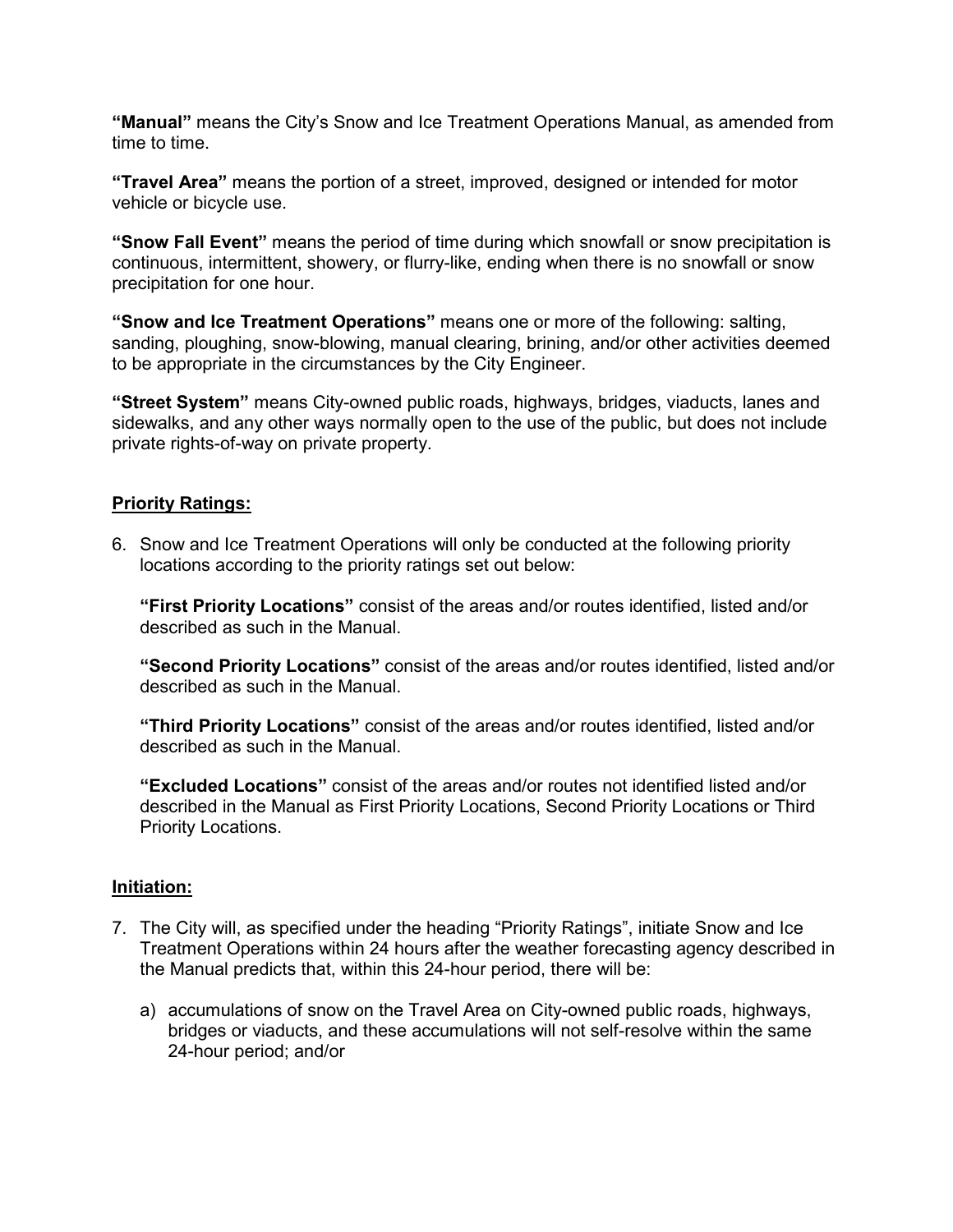**"Manual"** means the City's Snow and Ice Treatment Operations Manual, as amended from time to time.

**"Travel Area"** means the portion of a street, improved, designed or intended for motor vehicle or bicycle use.

**"Snow Fall Event"** means the period of time during which snowfall or snow precipitation is continuous, intermittent, showery, or flurry-like, ending when there is no snowfall or snow precipitation for one hour.

**"Snow and Ice Treatment Operations"** means one or more of the following: salting, sanding, ploughing, snow-blowing, manual clearing, brining, and/or other activities deemed to be appropriate in the circumstances by the City Engineer.

**"Street System"** means City-owned public roads, highways, bridges, viaducts, lanes and sidewalks, and any other ways normally open to the use of the public, but does not include private rights-of-way on private property.

## **Priority Ratings:**

6. Snow and Ice Treatment Operations will only be conducted at the following priority locations according to the priority ratings set out below:

**"First Priority Locations"** consist of the areas and/or routes identified, listed and/or described as such in the Manual.

**"Second Priority Locations"** consist of the areas and/or routes identified, listed and/or described as such in the Manual.

**"Third Priority Locations"** consist of the areas and/or routes identified, listed and/or described as such in the Manual.

**"Excluded Locations"** consist of the areas and/or routes not identified listed and/or described in the Manual as First Priority Locations, Second Priority Locations or Third Priority Locations.

## **Initiation:**

- 7. The City will, as specified under the heading "Priority Ratings", initiate Snow and Ice Treatment Operations within 24 hours after the weather forecasting agency described in the Manual predicts that, within this 24-hour period, there will be:
	- a) accumulations of snow on the Travel Area on City-owned public roads, highways, bridges or viaducts, and these accumulations will not self-resolve within the same 24-hour period; and/or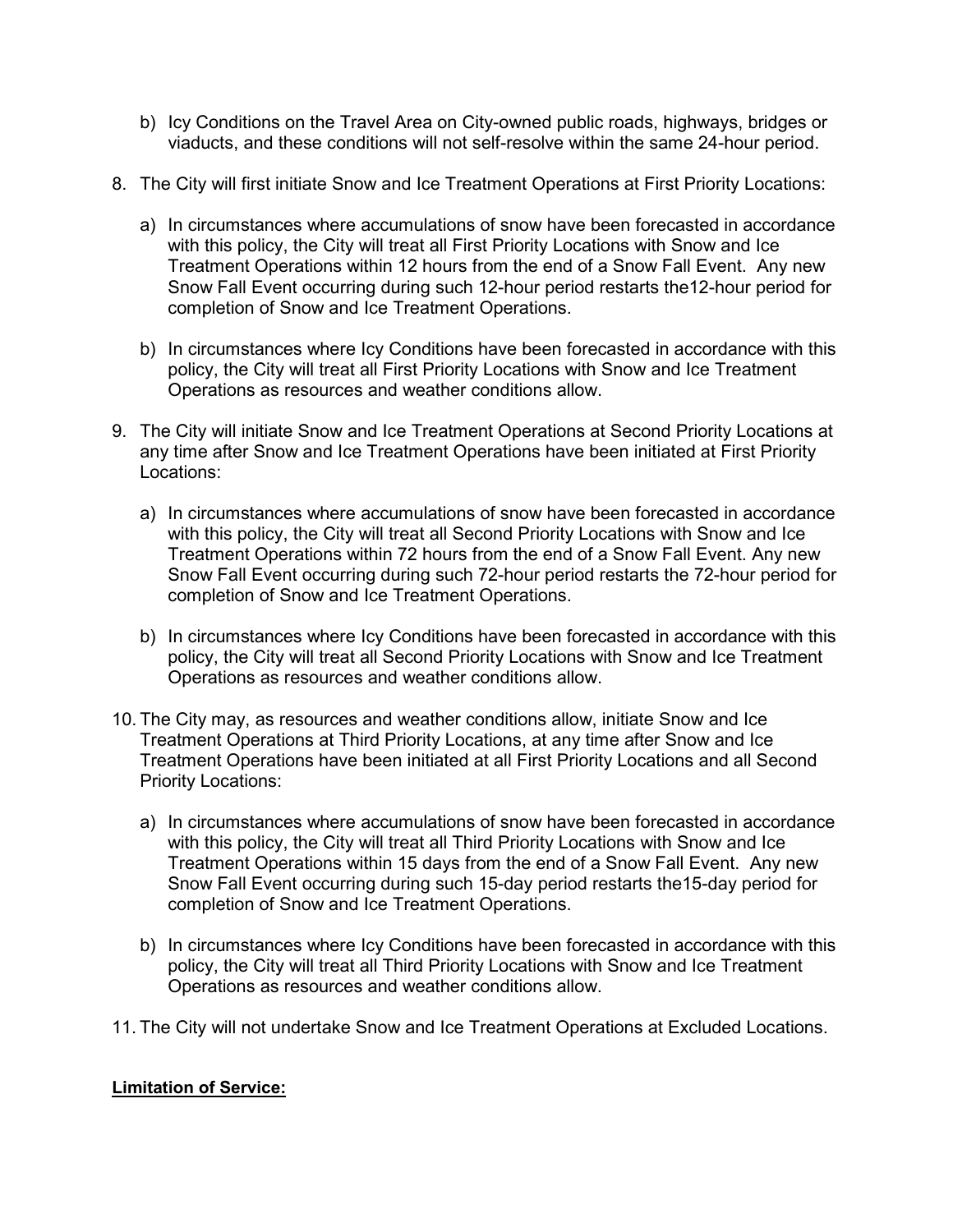- b) Icy Conditions on the Travel Area on City-owned public roads, highways, bridges or viaducts, and these conditions will not self-resolve within the same 24-hour period.
- 8. The City will first initiate Snow and Ice Treatment Operations at First Priority Locations:
	- a) In circumstances where accumulations of snow have been forecasted in accordance with this policy, the City will treat all First Priority Locations with Snow and Ice Treatment Operations within 12 hours from the end of a Snow Fall Event. Any new Snow Fall Event occurring during such 12-hour period restarts the12-hour period for completion of Snow and Ice Treatment Operations.
	- b) In circumstances where Icy Conditions have been forecasted in accordance with this policy, the City will treat all First Priority Locations with Snow and Ice Treatment Operations as resources and weather conditions allow.
- 9. The City will initiate Snow and Ice Treatment Operations at Second Priority Locations at any time after Snow and Ice Treatment Operations have been initiated at First Priority Locations:
	- a) In circumstances where accumulations of snow have been forecasted in accordance with this policy, the City will treat all Second Priority Locations with Snow and Ice Treatment Operations within 72 hours from the end of a Snow Fall Event. Any new Snow Fall Event occurring during such 72-hour period restarts the 72-hour period for completion of Snow and Ice Treatment Operations.
	- b) In circumstances where Icy Conditions have been forecasted in accordance with this policy, the City will treat all Second Priority Locations with Snow and Ice Treatment Operations as resources and weather conditions allow.
- 10. The City may, as resources and weather conditions allow, initiate Snow and Ice Treatment Operations at Third Priority Locations, at any time after Snow and Ice Treatment Operations have been initiated at all First Priority Locations and all Second Priority Locations:
	- a) In circumstances where accumulations of snow have been forecasted in accordance with this policy, the City will treat all Third Priority Locations with Snow and Ice Treatment Operations within 15 days from the end of a Snow Fall Event. Any new Snow Fall Event occurring during such 15-day period restarts the15-day period for completion of Snow and Ice Treatment Operations.
	- b) In circumstances where Icy Conditions have been forecasted in accordance with this policy, the City will treat all Third Priority Locations with Snow and Ice Treatment Operations as resources and weather conditions allow.
- 11. The City will not undertake Snow and Ice Treatment Operations at Excluded Locations.

#### **Limitation of Service:**